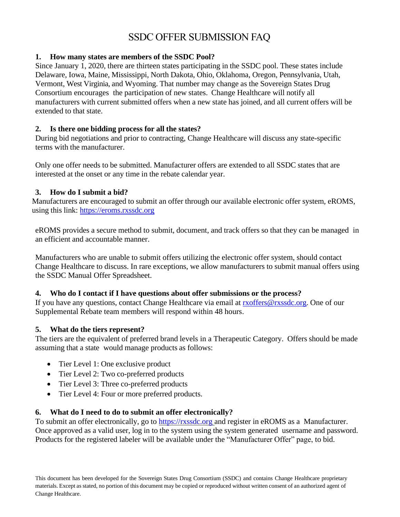# SSDC OFFER SUBMISSION FAQ

### **1. How many states are members of the SSDC Pool?**

Since January 1, 2020, there are thirteen states participating in the SSDC pool. These states include Delaware, Iowa, Maine, Mississippi, North Dakota, Ohio, Oklahoma, Oregon, Pennsylvania, Utah, Vermont, West Virginia, and Wyoming. That number may change as the Sovereign States Drug Consortium encourages the participation of new states. Change Healthcare will notify all manufacturers with current submitted offers when a new state has joined, and all current offers will be extended to that state.

#### **2. Is there one bidding process for all the states?**

During bid negotiations and prior to contracting, Change Healthcare will discuss any state-specific terms with the manufacturer.

Only one offer needs to be submitted. Manufacturer offers are extended to all SSDC states that are interested at the onset or any time in the rebate calendar year.

### **3. How do I submit a bid?**

Manufacturers are encouraged to submit an offer through our available electronic offer system, eROMS, using this link: [https://eroms.rxssdc.org](https://eroms.rxssdc.org/)

eROMS provides a secure method to submit, document, and track offers so that they can be managed in an efficient and accountable manner.

Manufacturers who are unable to submit offers utilizing the electronic offer system, should contact Change Healthcare to discuss. In rare exceptions, we allow manufacturers to submit manual offers using the SSDC Manual Offer Spreadsheet.

### **4. Who do I contact if I have questions about offer submissions or the process?**

If you have any questions, contact Change Healthcare via email at [rxoffers@rxssdc.org.](mailto:rxoffers@ghsinc.com) One of our Supplemental Rebate team members will respond within 48 hours.

### **5. What do the tiers represent?**

The tiers are the equivalent of preferred brand levels in a Therapeutic Category. Offers should be made assuming that a state would manage products as follows:

- Tier Level 1: One exclusive product
- Tier Level 2: Two co-preferred products
- Tier Level 3: Three co-preferred products
- Tier Level 4: Four or more preferred products.

### **6. What do I need to do to submit an offer electronically?**

To submit an offer electronically, go to [https://rxssdc.org](https://rxssdc.org/) and register in eROMS as a Manufacturer. Once approved as a valid user, log in to the system using the system generated username and password. Products for the registered labeler will be available under the "Manufacturer Offer" page, to bid.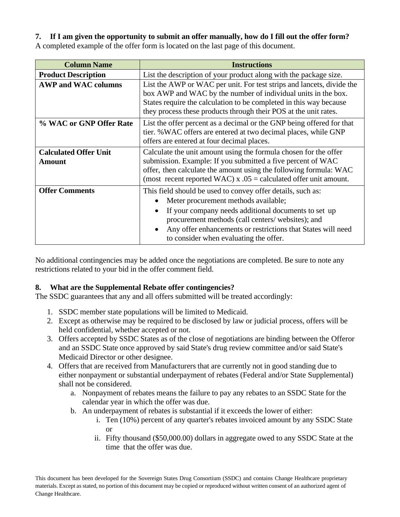## **7. If I am given the opportunity to submit an offer manually, how do I fill out the offer form?**

A completed example of the offer form is located on the last page of this document.

| <b>Column Name</b>                            | <b>Instructions</b>                                                                                                                                                                                                                                                                                                                     |  |  |  |  |  |  |  |
|-----------------------------------------------|-----------------------------------------------------------------------------------------------------------------------------------------------------------------------------------------------------------------------------------------------------------------------------------------------------------------------------------------|--|--|--|--|--|--|--|
| <b>Product Description</b>                    | List the description of your product along with the package size.                                                                                                                                                                                                                                                                       |  |  |  |  |  |  |  |
| <b>AWP and WAC columns</b>                    | List the AWP or WAC per unit. For test strips and lancets, divide the<br>box AWP and WAC by the number of individual units in the box.<br>States require the calculation to be completed in this way because<br>they process these products through their POS at the unit rates.                                                        |  |  |  |  |  |  |  |
| % WAC or GNP Offer Rate                       | List the offer percent as a decimal or the GNP being offered for that<br>tier. % WAC offers are entered at two decimal places, while GNP<br>offers are entered at four decimal places.                                                                                                                                                  |  |  |  |  |  |  |  |
| <b>Calculated Offer Unit</b><br><b>Amount</b> | Calculate the unit amount using the formula chosen for the offer<br>submission. Example: If you submitted a five percent of WAC<br>offer, then calculate the amount using the following formula: WAC<br>(most recent reported WAC) x $.05$ = calculated offer unit amount.                                                              |  |  |  |  |  |  |  |
| <b>Offer Comments</b>                         | This field should be used to convey offer details, such as:<br>Meter procurement methods available;<br>If your company needs additional documents to set up<br>$\bullet$<br>procurement methods (call centers/ websites); and<br>Any offer enhancements or restrictions that States will need<br>to consider when evaluating the offer. |  |  |  |  |  |  |  |

No additional contingencies may be added once the negotiations are completed. Be sure to note any restrictions related to your bid in the offer comment field.

## **8. What are the Supplemental Rebate offer contingencies?**

The SSDC guarantees that any and all offers submitted will be treated accordingly:

- 1. SSDC member state populations will be limited to Medicaid.
- 2. Except as otherwise may be required to be disclosed by law or judicial process, offers will be held confidential, whether accepted or not.
- 3. Offers accepted by SSDC States as of the close of negotiations are binding between the Offeror and an SSDC State once approved by said State's drug review committee and/or said State's Medicaid Director or other designee.
- 4. Offers that are received from Manufacturers that are currently not in good standing due to either nonpayment or substantial underpayment of rebates (Federal and/or State Supplemental) shall not be considered.
	- a. Nonpayment of rebates means the failure to pay any rebates to an SSDC State for the calendar year in which the offer was due.
	- b. An underpayment of rebates is substantial if it exceeds the lower of either:
		- i. Ten (10%) percent of any quarter's rebates invoiced amount by any SSDC State or
		- ii. Fifty thousand (\$50,000.00) dollars in aggregate owed to any SSDC State at the time that the offer was due.

This document has been developed for the Sovereign States Drug Consortium (SSDC) and contains Change Healthcare proprietary materials. Except as stated, no portion of this document may be copied or reproduced without written consent of an authorized agent of Change Healthcare.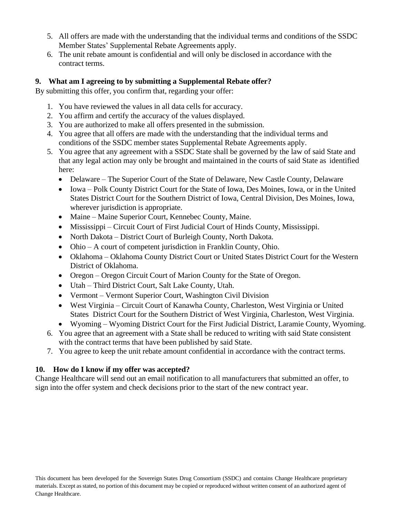- 5. All offers are made with the understanding that the individual terms and conditions of the SSDC Member States' Supplemental Rebate Agreements apply.
- 6. The unit rebate amount is confidential and will only be disclosed in accordance with the contract terms.

### **9. What am I agreeing to by submitting a Supplemental Rebate offer?**

By submitting this offer, you confirm that, regarding your offer:

- 1. You have reviewed the values in all data cells for accuracy.
- 2. You affirm and certify the accuracy of the values displayed.
- 3. You are authorized to make all offers presented in the submission.
- 4. You agree that all offers are made with the understanding that the individual terms and conditions of the SSDC member states Supplemental Rebate Agreements apply.
- 5. You agree that any agreement with a SSDC State shall be governed by the law of said State and that any legal action may only be brought and maintained in the courts of said State as identified here:
	- Delaware The Superior Court of the State of Delaware, New Castle County, Delaware
	- Iowa Polk County District Court for the State of Iowa, Des Moines, Iowa, or in the United States District Court for the Southern District of Iowa, Central Division, Des Moines, Iowa, wherever jurisdiction is appropriate.
	- Maine Maine Superior Court, Kennebec County, Maine.
	- Mississippi Circuit Court of First Judicial Court of Hinds County, Mississippi.
	- North Dakota District Court of Burleigh County, North Dakota.
	- Ohio A court of competent jurisdiction in Franklin County, Ohio.
	- Oklahoma Oklahoma County District Court or United States District Court for the Western District of Oklahoma.
	- Oregon Oregon Circuit Court of Marion County for the State of Oregon.
	- Utah Third District Court, Salt Lake County, Utah.
	- Vermont Vermont Superior Court, Washington Civil Division
	- West Virginia Circuit Court of Kanawha County, Charleston, West Virginia or United States District Court for the Southern District of West Virginia, Charleston, West Virginia.
	- Wyoming Wyoming District Court for the First Judicial District, Laramie County, Wyoming.
- 6. You agree that an agreement with a State shall be reduced to writing with said State consistent with the contract terms that have been published by said State.
- 7. You agree to keep the unit rebate amount confidential in accordance with the contract terms.

## **10. How do I know if my offer was accepted?**

Change Healthcare will send out an email notification to all manufacturers that submitted an offer, to sign into the offer system and check decisions prior to the start of the new contract year.